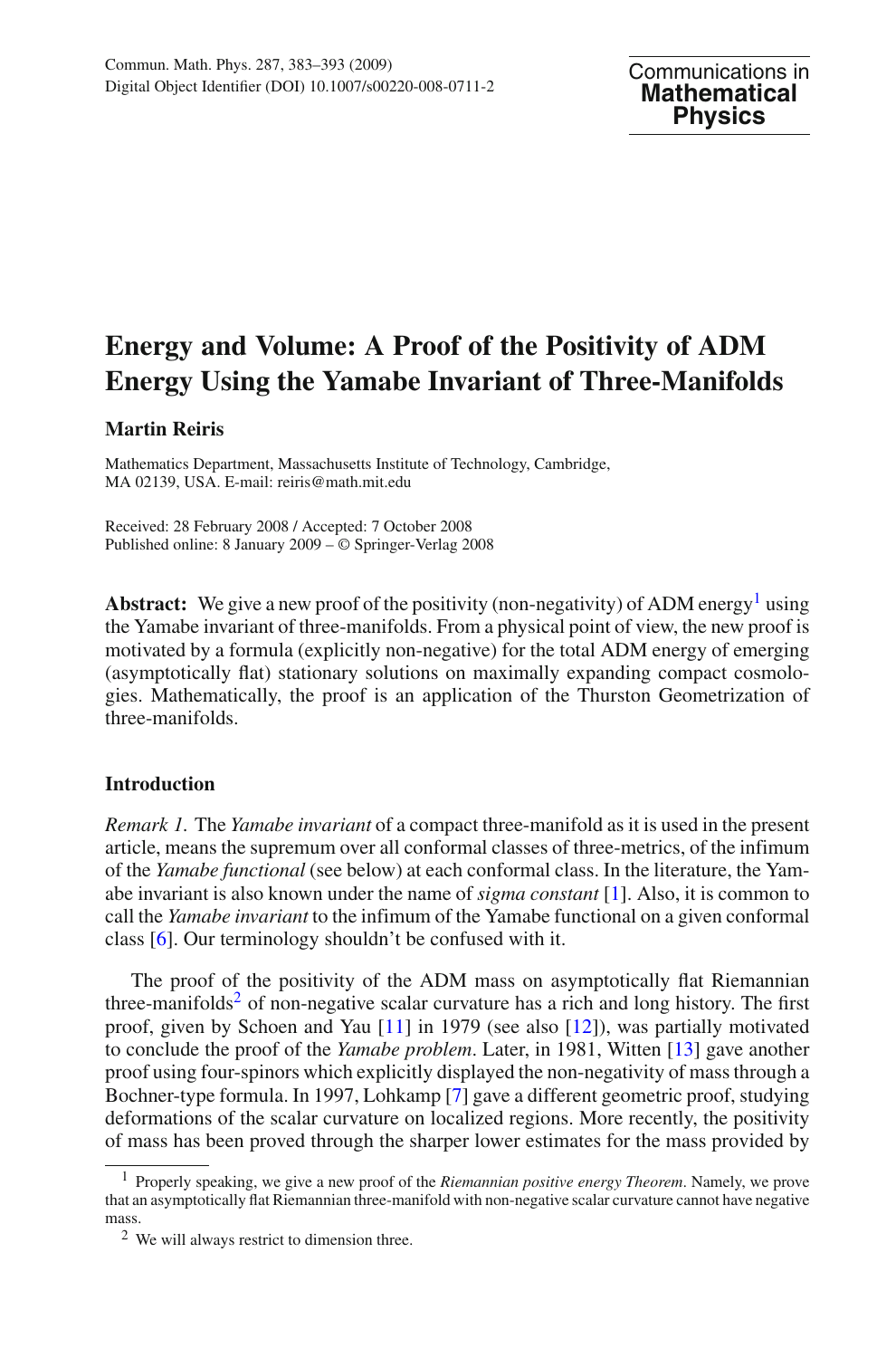## **Energy and Volume: A Proof of the Positivity of ADM Energy Using the Yamabe Invariant of Three-Manifolds**

## **Martin Reiris**

Mathematics Department, Massachusetts Institute of Technology, Cambridge, MA 02139, USA. E-mail: reiris@math.mit.edu

Received: 28 February 2008 / Accepted: 7 October 2008 Published online: 8 January 2009 – © Springer-Verlag 2008

**Abstract:** We give a new proof of the positivity (non-negativity) of ADM energy<sup>[1](#page-0-0)</sup> using the Yamabe invariant of three-manifolds. From a physical point of view, the new proof is motivated by a formula (explicitly non-negative) for the total ADM energy of emerging (asymptotically flat) stationary solutions on maximally expanding compact cosmologies. Mathematically, the proof is an application of the Thurston Geometrization of three-manifolds.

## **Introduction**

*Remark 1.* The *Yamabe invariant* of a compact three-manifold as it is used in the present article, means the supremum over all conformal classes of three-metrics, of the infimum of the *Yamabe functional* (see below) at each conformal class. In the literature, the Yamabe invariant is also known under the name of *sigma constant* [\[1](#page-10-0)]. Also, it is common to call the *Yamabe invariant* to the infimum of the Yamabe functional on a given conformal class [\[6\]](#page-10-1). Our terminology shouldn't be confused with it.

The proof of the positivity of the ADM mass on asymptotically flat Riemannian three-manifolds<sup>2</sup> of non-negative scalar curvature has a rich and long history. The first proof, given by Schoen and Yau [\[11\]](#page-10-2) in 1979 (see also [\[12\]](#page-10-3)), was partially motivated to conclude the proof of the *Yamabe problem*. Later, in 1981, Witten [\[13](#page-10-4)] gave another proof using four-spinors which explicitly displayed the non-negativity of mass through a Bochner-type formula. In 1997, Lohkamp [\[7\]](#page-10-5) gave a different geometric proof, studying deformations of the scalar curvature on localized regions. More recently, the positivity of mass has been proved through the sharper lower estimates for the mass provided by

<span id="page-0-0"></span><sup>1</sup> Properly speaking, we give a new proof of the *Riemannian positive energy Theorem*. Namely, we prove that an asymptotically flat Riemannian three-manifold with non-negative scalar curvature cannot have negative mass.

<span id="page-0-1"></span><sup>2</sup> We will always restrict to dimension three.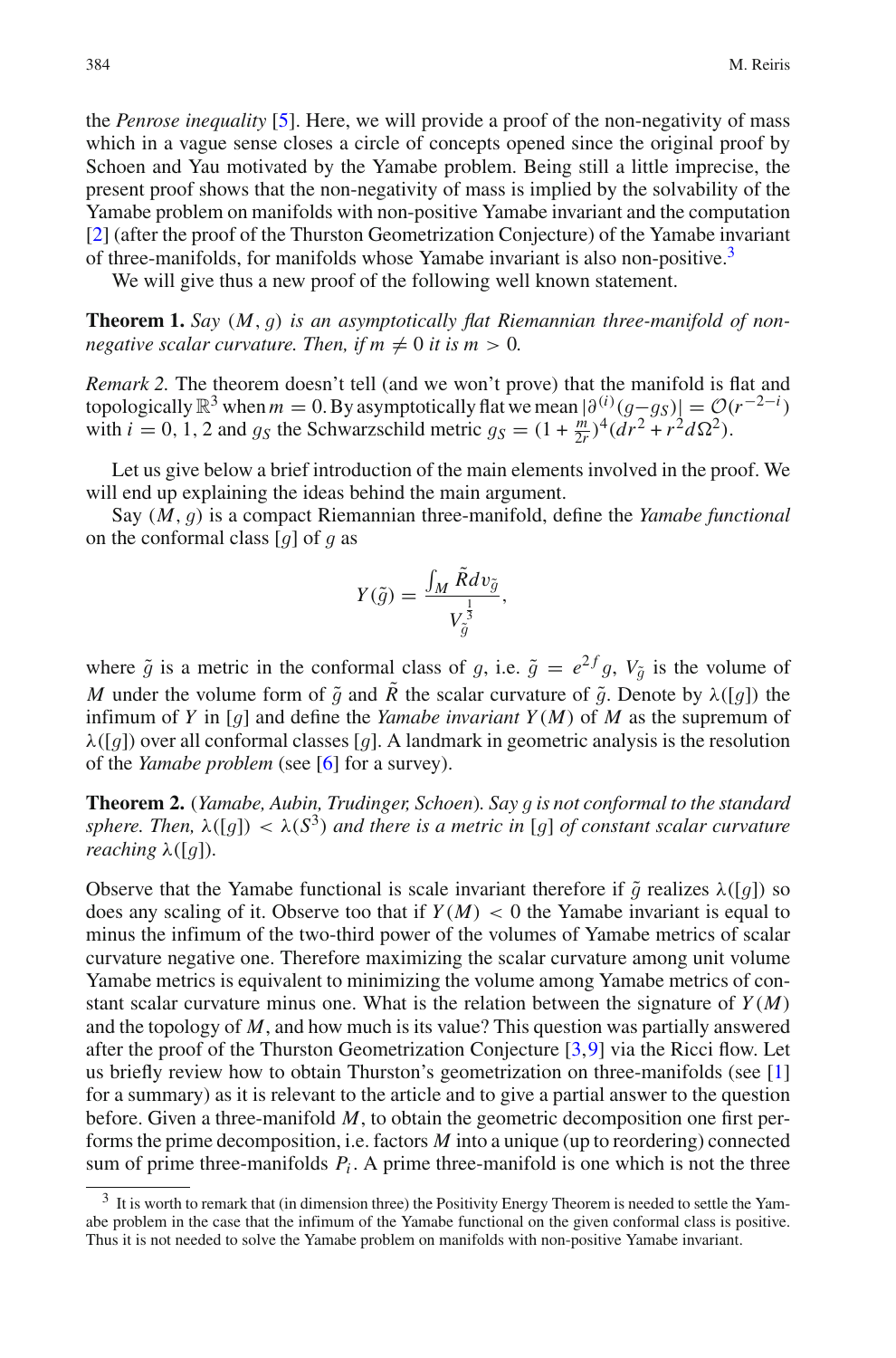the *Penrose inequality* [\[5\]](#page-10-6). Here, we will provide a proof of the non-negativity of mass which in a vague sense closes a circle of concepts opened since the original proof by Schoen and Yau motivated by the Yamabe problem. Being still a little imprecise, the present proof shows that the non-negativity of mass is implied by the solvability of the Yamabe problem on manifolds with non-positive Yamabe invariant and the computation [\[2](#page-10-7)] (after the proof of the Thurston Geometrization Conjecture) of the Yamabe invariant of three-manifolds, for manifolds whose Yamabe invariant is also non-positive[.3](#page-1-0)

We will give thus a new proof of the following well known statement.

<span id="page-1-1"></span>**Theorem 1.** *Say* (*M*, *g*) *is an asymptotically flat Riemannian three-manifold of nonnegative scalar curvature. Then, if*  $m \neq 0$  *it is*  $m > 0$ *.* 

*Remark 2.* The theorem doesn't tell (and we won't prove) that the manifold is flat and topologically  $\mathbb{R}^3$  when  $m = 0$ . By asymptotically flat we mean  $\left(\frac{\partial^{(i)}(g-g_S)}{\partial g}\right) = \mathcal{O}(r^{-2-i})$ <br>with  $i = 0, 1, 2$  and  $g_S$  the Schwarzschild metric  $g_S = (1 + \frac{m}{2})^4 (dr^2 + r^2 d\Omega^2)$ with  $i = 0, 1, 2$  and  $g_S$  the Schwarzschild metric  $g_S = (1 + \frac{m}{2r})^4 (dr^2 + r^2 d\Omega^2)$ .

Let us give below a brief introduction of the main elements involved in the proof. We will end up explaining the ideas behind the main argument.

Say (*M*, *g*) is a compact Riemannian three-manifold, define the *Yamabe functional* on the conformal class [*g*] of *g* as

$$
Y(\tilde{g}) = \frac{\int_M \tilde{R} dv_{\tilde{g}}}{V_{\tilde{g}}^{\frac{1}{3}}},
$$

where  $\tilde{g}$  is a metric in the conformal class of *g*, i.e.  $\tilde{g} = e^{2f}g$ ,  $V_{\tilde{g}}$  is the volume of *M* under the volume form of  $\tilde{g}$  and  $\tilde{R}$  the scalar curvature of  $\tilde{g}$ . Denote by  $\lambda([g])$  the infimum of *Y* in [*g*] and define the *Yamabe invariant Y(M)* of *M* as the supremum of  $\lambda([q])$  over all conformal classes [g]. A landmark in geometric analysis is the resolution of the *Yamabe problem* (see [\[6](#page-10-1)] for a survey).

**Theorem 2.** (*Yamabe, Aubin, Trudinger, Schoen*)*. Say g is not conformal to the standard sphere. Then,* λ([*g*]) < λ(*S*3) *and there is a metric in* [*g*] *of constant scalar curvature reaching*  $\lambda([q])$ .

Observe that the Yamabe functional is scale invariant therefore if  $\tilde{g}$  realizes  $\lambda([g])$  so does any scaling of it. Observe too that if  $Y(M) < 0$  the Yamabe invariant is equal to minus the infimum of the two-third power of the volumes of Yamabe metrics of scalar curvature negative one. Therefore maximizing the scalar curvature among unit volume Yamabe metrics is equivalent to minimizing the volume among Yamabe metrics of constant scalar curvature minus one. What is the relation between the signature of  $Y(M)$ and the topology of *M*, and how much is its value? This question was partially answered after the proof of the Thurston Geometrization Conjecture [\[3](#page-10-8),[9\]](#page-10-9) via the Ricci flow. Let us briefly review how to obtain Thurston's geometrization on three-manifolds (see [\[1\]](#page-10-0) for a summary) as it is relevant to the article and to give a partial answer to the question before. Given a three-manifold *M*, to obtain the geometric decomposition one first performs the prime decomposition, i.e. factors *M* into a unique (up to reordering) connected sum of prime three-manifolds  $P_i$ . A prime three-manifold is one which is not the three

<span id="page-1-0"></span><sup>&</sup>lt;sup>3</sup> It is worth to remark that (in dimension three) the Positivity Energy Theorem is needed to settle the Yamabe problem in the case that the infimum of the Yamabe functional on the given conformal class is positive. Thus it is not needed to solve the Yamabe problem on manifolds with non-positive Yamabe invariant.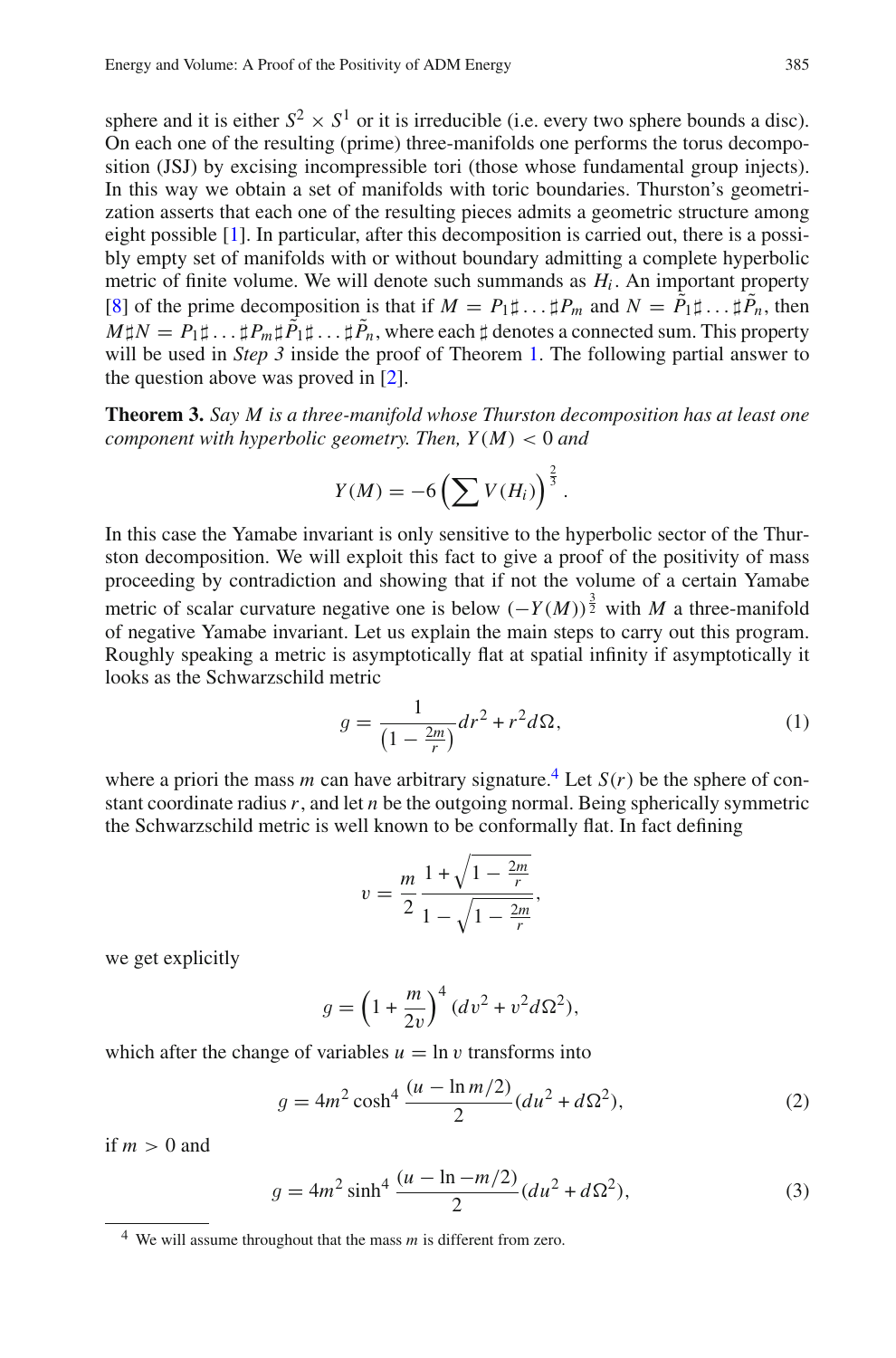sphere and it is either  $S^2 \times S^1$  or it is irreducible (i.e. every two sphere bounds a disc). On each one of the resulting (prime) three-manifolds one performs the torus decomposition (JSJ) by excising incompressible tori (those whose fundamental group injects). In this way we obtain a set of manifolds with toric boundaries. Thurston's geometrization asserts that each one of the resulting pieces admits a geometric structure among eight possible [\[1](#page-10-0)]. In particular, after this decomposition is carried out, there is a possibly empty set of manifolds with or without boundary admitting a complete hyperbolic metric of finite volume. We will denote such summands as  $H_i$ . An important property [\[8\]](#page-10-10) of the prime decomposition is that if  $M = P_1 \sharp ... \sharp P_m$  and  $N = \tilde{P}_1 \sharp ... \sharp \tilde{P}_n$ , then  $M\sharp N=P_1\sharp \ldots \sharp P_m\sharp \tilde{P}_1\sharp \ldots \sharp \tilde{P}_n,$  where each  $\sharp$  denotes a connected sum. This property will be used in *Step 3* inside the proof of Theorem [1.](#page-1-1) The following partial answer to the question above was proved in [\[2\]](#page-10-7).

<span id="page-2-3"></span>**Theorem 3.** *Say M is a three-manifold whose Thurston decomposition has at least one component with hyperbolic geometry. Then, Y*(*M*) < 0 *and*

$$
Y(M) = -6\left(\sum V(H_i)\right)^{\frac{2}{3}}.
$$

In this case the Yamabe invariant is only sensitive to the hyperbolic sector of the Thurston decomposition. We will exploit this fact to give a proof of the positivity of mass proceeding by contradiction and showing that if not the volume of a certain Yamabe metric of scalar curvature negative one is below  $(-Y(M))^{\frac{3}{2}}$  with *M* a three-manifold of negative Yamabe invariant. Let us explain the main steps to carry out this program. Roughly speaking a metric is asymptotically flat at spatial infinity if asymptotically it looks as the Schwarzschild metric

$$
g = \frac{1}{\left(1 - \frac{2m}{r}\right)} dr^2 + r^2 d\Omega,\tag{1}
$$

where a priori the mass *m* can have arbitrary signature.<sup>[4](#page-2-0)</sup> Let  $S(r)$  be the sphere of constant coordinate radius*r*, and let *n* be the outgoing normal. Being spherically symmetric the Schwarzschild metric is well known to be conformally flat. In fact defining

$$
v = \frac{m}{2} \frac{1 + \sqrt{1 - \frac{2m}{r}}}{1 - \sqrt{1 - \frac{2m}{r}}},
$$

we get explicitly

$$
g = \left(1 + \frac{m}{2v}\right)^4 (dv^2 + v^2 d\Omega^2),
$$

which after the change of variables  $u = \ln v$  transforms into

$$
g = 4m^2 \cosh^4 \frac{(u - \ln m/2)}{2} (du^2 + d\Omega^2),
$$
 (2)

<span id="page-2-1"></span>if  $m > 0$  and

$$
g = 4m^2 \sinh^4 \frac{(u - \ln -m/2)}{2} (du^2 + d\Omega^2),
$$
 (3)

<span id="page-2-2"></span><span id="page-2-0"></span><sup>4</sup> We will assume throughout that the mass *m* is different from zero.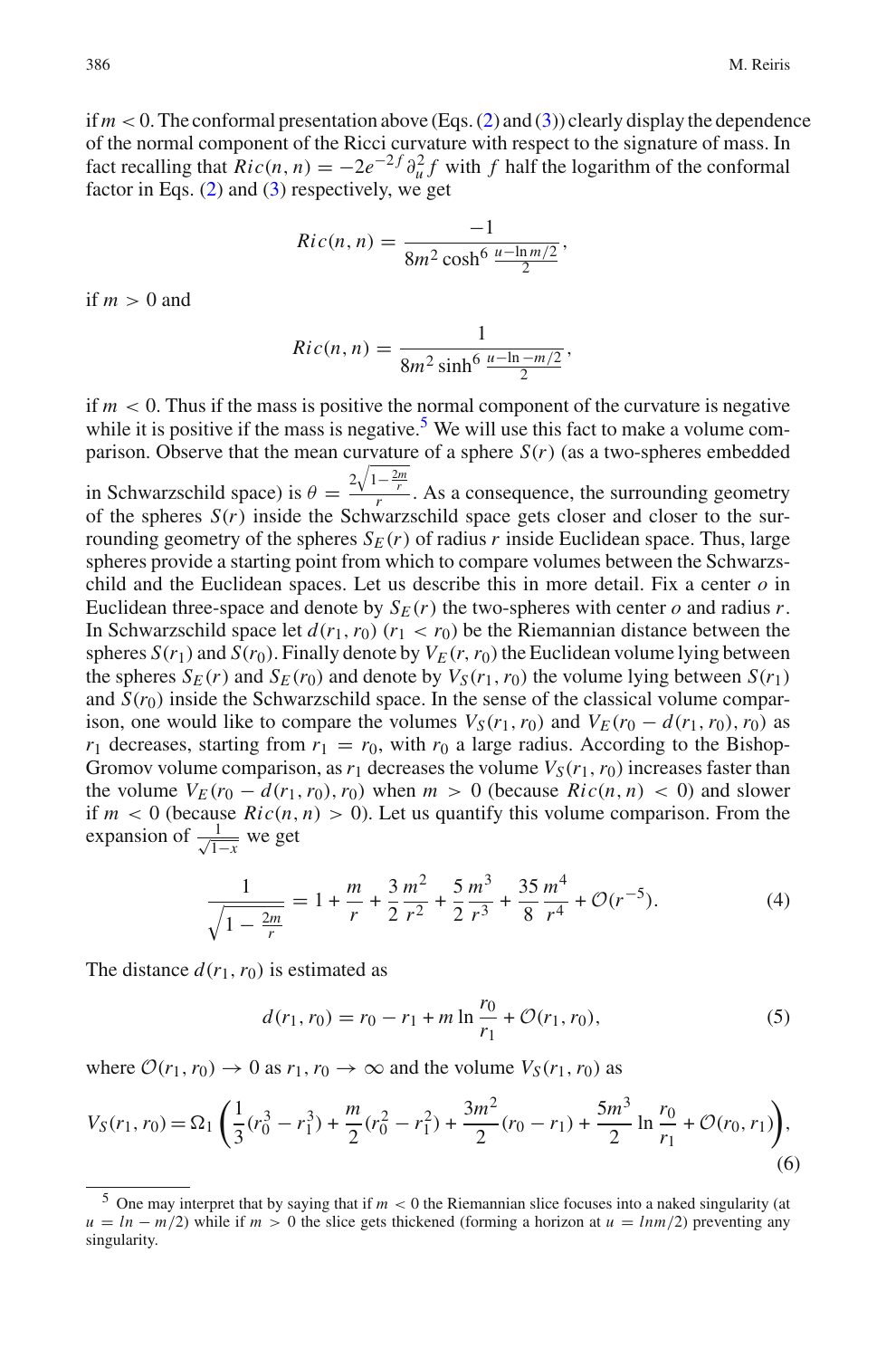if  $m < 0$ . The conformal presentation above (Eqs. [\(2\)](#page-2-1) and [\(3\)](#page-2-2)) clearly display the dependence of the normal component of the Ricci curvature with respect to the signature of mass. In fact recalling that  $Ric(n, n) = -2e^{-2f} \partial_u^2 f$  with *f* half the logarithm of the conformal factor in Eqs. [\(2\)](#page-2-1) and [\(3\)](#page-2-2) respectively, we get

$$
Ric(n, n) = \frac{-1}{8m^2 \cosh^6 \frac{u - \ln m/2}{2}},
$$

if  $m > 0$  and

$$
Ric(n, n) = \frac{1}{8m^2 \sinh^6 \frac{u - \ln -m/2}{2}},
$$

if  $m < 0$ . Thus if the mass is positive the normal component of the curvature is negative while it is positive if the mass is negative.<sup>5</sup> We will use this fact to make a volume comparison. Observe that the mean curvature of a sphere  $S(r)$  (as a two-spheres embedded

in Schwarzschild space) is  $\theta = \frac{2\sqrt{1-\frac{2m}{r}}}{r}$ . As a consequence, the surrounding geometry of the spheres *S*(*r*) inside the Schwarzschild space gets closer and closer to the surrounding geometry of the spheres  $S_F(r)$  of radius *r* inside Euclidean space. Thus, large spheres provide a starting point from which to compare volumes between the Schwarzschild and the Euclidean spaces. Let us describe this in more detail. Fix a center *o* in Euclidean three-space and denote by  $S_E(r)$  the two-spheres with center  $o$  and radius  $r$ . In Schwarzschild space let  $d(r_1, r_0)$  ( $r_1 < r_0$ ) be the Riemannian distance between the spheres  $S(r_1)$  and  $S(r_0)$ . Finally denote by  $V_E(r, r_0)$  the Euclidean volume lying between the spheres  $S_F(r)$  and  $S_F(r_0)$  and denote by  $V_S(r_1, r_0)$  the volume lying between  $S(r_1)$ and  $S(r_0)$  inside the Schwarzschild space. In the sense of the classical volume comparison, one would like to compare the volumes  $V_S(r_1, r_0)$  and  $V_E(r_0 - d(r_1, r_0), r_0)$  as  $r_1$  decreases, starting from  $r_1 = r_0$ , with  $r_0$  a large radius. According to the Bishop-Gromov volume comparison, as  $r_1$  decreases the volume  $V_S(r_1, r_0)$  increases faster than the volume  $V_F(r_0 - d(r_1, r_0), r_0)$  when  $m > 0$  (because  $Ric(n, n) < 0$ ) and slower if  $m < 0$  (because  $Ric(n, n) > 0$ ). Let us quantify this volume comparison. From the expansion of  $\frac{1}{\sqrt{1-x}}$  we get

$$
\frac{1}{\sqrt{1 - \frac{2m}{r}}} = 1 + \frac{m}{r} + \frac{3}{2} \frac{m^2}{r^2} + \frac{5}{2} \frac{m^3}{r^3} + \frac{35}{8} \frac{m^4}{r^4} + \mathcal{O}(r^{-5}).\tag{4}
$$

<span id="page-3-1"></span>The distance  $d(r_1, r_0)$  is estimated as

$$
d(r_1, r_0) = r_0 - r_1 + m \ln \frac{r_0}{r_1} + \mathcal{O}(r_1, r_0),
$$
\n(5)

where  $\mathcal{O}(r_1, r_0) \to 0$  as  $r_1, r_0 \to \infty$  and the volume  $V_S(r_1, r_0)$  as

<span id="page-3-2"></span>
$$
V_S(r_1, r_0) = \Omega_1 \left( \frac{1}{3} (r_0^3 - r_1^3) + \frac{m}{2} (r_0^2 - r_1^2) + \frac{3m^2}{2} (r_0 - r_1) + \frac{5m^3}{2} \ln \frac{r_0}{r_1} + \mathcal{O}(r_0, r_1) \right),\tag{6}
$$

<span id="page-3-0"></span><sup>&</sup>lt;sup>5</sup> One may interpret that by saying that if  $m < 0$  the Riemannian slice focuses into a naked singularity (at  $u = ln - m/2$ ) while if  $m > 0$  the slice gets thickened (forming a horizon at  $u = lnm/2$ ) preventing any singularity.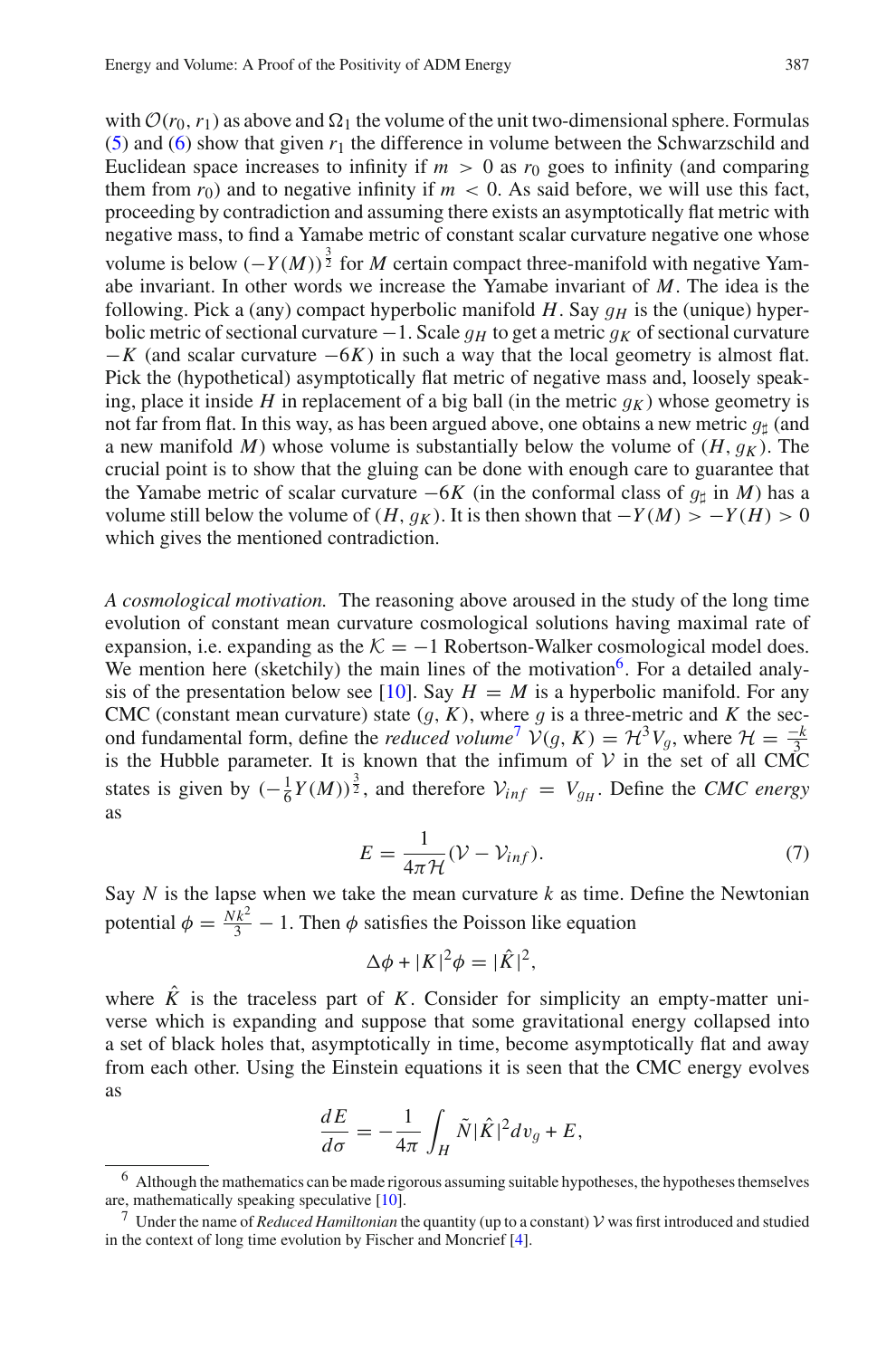with  $\mathcal{O}(r_0, r_1)$  as above and  $\Omega_1$  the volume of the unit two-dimensional sphere. Formulas [\(5\)](#page-3-1) and [\(6\)](#page-3-2) show that given  $r_1$  the difference in volume between the Schwarzschild and Euclidean space increases to infinity if  $m > 0$  as  $r_0$  goes to infinity (and comparing them from  $r_0$ ) and to negative infinity if  $m < 0$ . As said before, we will use this fact, proceeding by contradiction and assuming there exists an asymptotically flat metric with negative mass, to find a Yamabe metric of constant scalar curvature negative one whose volume is below  $(-Y(M))^{\frac{3}{2}}$  for *M* certain compact three-manifold with negative Yamabe invariant. In other words we increase the Yamabe invariant of *M*. The idea is the following. Pick a (any) compact hyperbolic manifold  $H$ . Say  $q_H$  is the (unique) hyperbolic metric of sectional curvature <sup>−</sup>1. Scale *<sup>g</sup><sup>H</sup>* to get a metric *<sup>g</sup><sup>K</sup>* of sectional curvature  $-K$  (and scalar curvature  $-6K$ ) in such a way that the local geometry is almost flat. Pick the (hypothetical) asymptotically flat metric of negative mass and, loosely speaking, place it inside *H* in replacement of a big ball (in the metric  $q_K$ ) whose geometry is not far from flat. In this way, as has been argued above, one obtains a new metric  $q_{\parallel}$  (and a new manifold *M*) whose volume is substantially below the volume of  $(H, g_K)$ . The crucial point is to show that the gluing can be done with enough care to guarantee that the Yamabe metric of scalar curvature  $-6K$  (in the conformal class of  $g<sub>th</sub>$  in *M*) has a volume still below the volume of  $(H, g_K)$ . It is then shown that  $−Y(M) > −Y(H) > 0$ which gives the mentioned contradiction.

*A cosmological motivation.* The reasoning above aroused in the study of the long time evolution of constant mean curvature cosmological solutions having maximal rate of expansion, i.e. expanding as the  $K = -1$  Robertson-Walker cosmological model does. We mention here (sketchily) the main lines of the motivation<sup>6</sup>. For a detailed analy-sis of the presentation below see [\[10](#page-10-11)]. Say  $H = M$  is a hyperbolic manifold. For any CMC (constant mean curvature) state  $(q, K)$ , where q is a three-metric and K the sec-CMC (constant mean curvature) state  $(g, K)$ , where *g* is a three-metric and *K* the sec-<br>ond fundamental form define the *reduced volume*<sup>7</sup>  $V(a, K) = H^3 V_a$ , where  $H = \frac{-k}{\hbar}$ ond fundamental form, define the *reduced volume*<sup>[7](#page-4-1)</sup>  $\mathcal{V}(g, K) = \mathcal{H}^3 V_g$ , where  $\mathcal{H} = \frac{-k}{3}$ <br>is the Hubble parameter. It is known that the infimum of  $\mathcal{V}$  in the set of all CMC is the Hubble parameter. It is known that the infimum of *V* in the set of all CMC states is given by  $\left(-\frac{1}{6}Y(M)\right)^{\frac{3}{2}}$ , and therefore  $V_{inf} = V_{gH}$ . Define the *CMC energy* as

$$
E = \frac{1}{4\pi\mathcal{H}}(\mathcal{V} - \mathcal{V}_{inf}).
$$
\n(7)

<span id="page-4-2"></span>Say  $N$  is the lapse when we take the mean curvature  $k$  as time. Define the Newtonian potential  $\phi = \frac{Nk^2}{3} - 1$ . Then  $\phi$  satisfies the Poisson like equation

$$
\Delta \phi + |K|^2 \phi = |\hat{K}|^2,
$$

where  $\hat{K}$  is the traceless part of  $K$ . Consider for simplicity an empty-matter universe which is expanding and suppose that some gravitational energy collapsed into a set of black holes that, asymptotically in time, become asymptotically flat and away from each other. Using the Einstein equations it is seen that the CMC energy evolves as

$$
\frac{dE}{d\sigma} = -\frac{1}{4\pi} \int_H \tilde{N} |\hat{K}|^2 dv_g + E,
$$

<span id="page-4-0"></span><sup>6</sup> Although the mathematics can be made rigorous assuming suitable hypotheses, the hypotheses themselves are, mathematically speaking speculative [\[10\]](#page-10-11).

<span id="page-4-1"></span><sup>&</sup>lt;sup>7</sup> Under the name of *Reduced Hamiltonian* the quantity (up to a constant)  $\mathcal V$  was first introduced and studied in the context of long time evolution by Fischer and Moncrief [\[4\]](#page-10-12).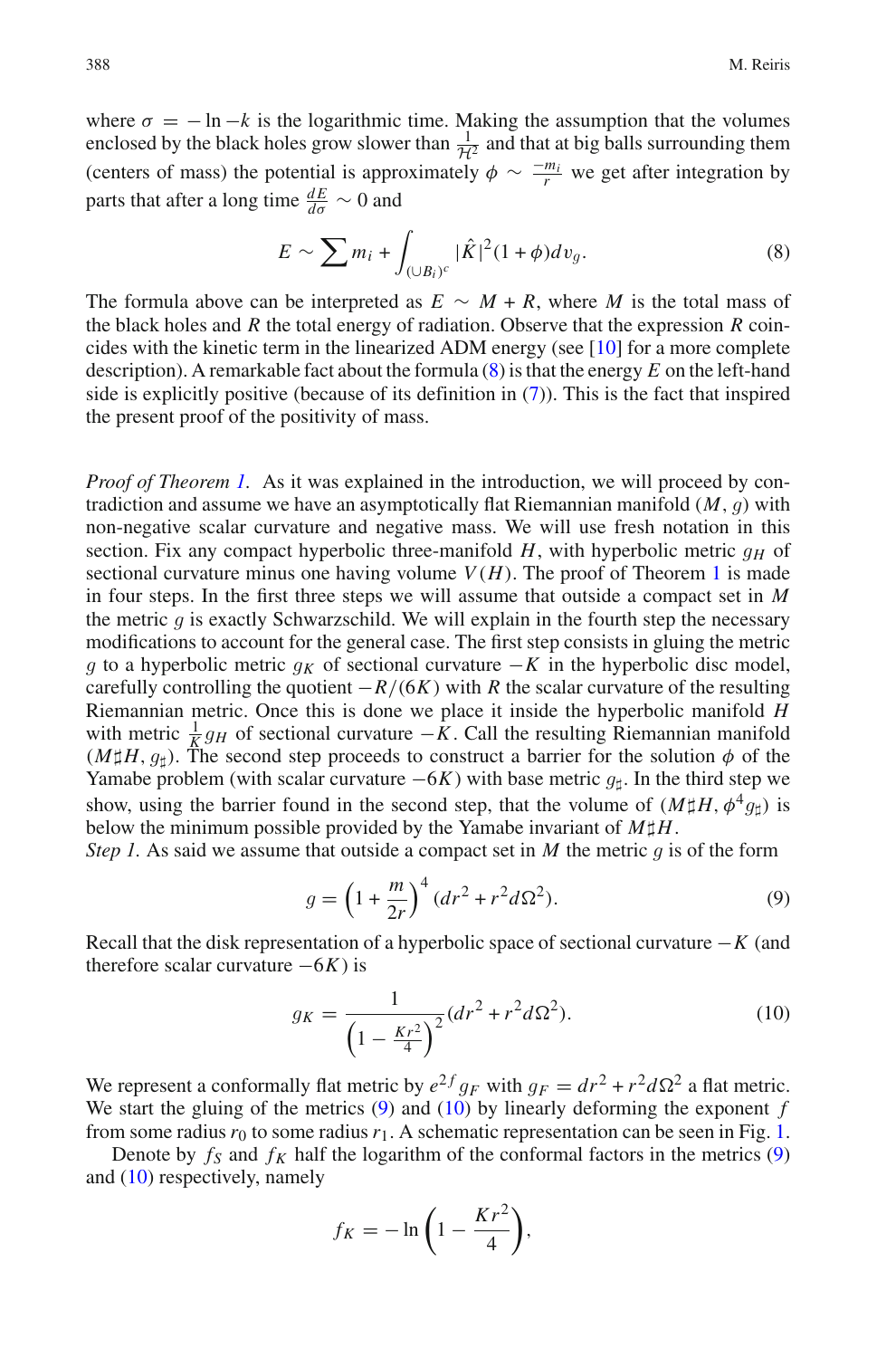where  $\sigma = -\ln k$  is the logarithmic time. Making the assumption that the volumes enclosed by the black holes grow slower than  $\frac{1}{\mathcal{H}^2}$  and that at big balls surrounding them (centers of mass) the potential is approximately  $\phi \sim \frac{-m_i}{r}$  we get after integration by parts that after a long time  $\frac{dE}{d\sigma} \sim 0$  and

$$
E \sim \sum m_i + \int_{(\cup B_i)^c} |\hat{K}|^2 (1+\phi) dv_g. \tag{8}
$$

<span id="page-5-0"></span>The formula above can be interpreted as  $E \sim M + R$ , where *M* is the total mass of the black holes and *R* the total energy of radiation. Observe that the expression *R* coincides with the kinetic term in the linearized ADM energy (see [\[10](#page-10-11)] for a more complete description). A remarkable fact about the formula [\(8\)](#page-5-0) is that the energy *E* on the left-hand side is explicitly positive (because of its definition in [\(7\)](#page-4-2)). This is the fact that inspired the present proof of the positivity of mass.

*Proof of Theorem [1.](#page-1-1)* As it was explained in the introduction, we will proceed by contradiction and assume we have an asymptotically flat Riemannian manifold (*M*, *g*) with non-negative scalar curvature and negative mass. We will use fresh notation in this section. Fix any compact hyperbolic three-manifold  $H$ , with hyperbolic metric  $q_H$  of sectional curvature minus one having volume  $V(H)$ . The proof of Theorem [1](#page-1-1) is made in four steps. In the first three steps we will assume that outside a compact set in *M* the metric  $q$  is exactly Schwarzschild. We will explain in the fourth step the necessary modifications to account for the general case. The first step consists in gluing the metric *g* to a hyperbolic metric  $q<sub>K</sub>$  of sectional curvature −*K* in the hyperbolic disc model, carefully controlling the quotient  $-R/(6K)$  with *R* the scalar curvature of the resulting Riemannian metric. Once this is done we place it inside the hyperbolic manifold *H* with metric  $\frac{1}{K}g_H$  of sectional curvature −*K*. Call the resulting Riemannian manifold  $(M \# H_{\alpha})$ . The second step proceeds to construct a barrier for the solution  $\phi$  of the  $(M \sharp H, g_{\dagger})$ . The second step proceeds to construct a barrier for the solution  $\phi$  of the Yamabe problem (with scalar curvature  $-6K$ ) with base metric  $g_{\uparrow}$ . In the third step we show, using the barrier found in the second step, that the volume of  $(M \sharp H, \phi^4 q_{\uparrow})$  is below the minimum possible provided by the Yamabe invariant of  $M \sharp H$ .

*Step 1.* As said we assume that outside a compact set in *<sup>M</sup>* the metric *g* is of the form

$$
g = \left(1 + \frac{m}{2r}\right)^4 (dr^2 + r^2 d\Omega^2).
$$
 (9)

<span id="page-5-2"></span><span id="page-5-1"></span>Recall that the disk representation of a hyperbolic space of sectional curvature −*K* (and therefore scalar curvature  $-6K$ ) is

$$
g_K = \frac{1}{\left(1 - \frac{Kr^2}{4}\right)^2} (dr^2 + r^2 d\Omega^2).
$$
 (10)

We represent a conformally flat metric by  $e^{2f}g_F$  with  $g_F = dr^2 + r^2d\Omega^2$  a flat metric.<br>We start the gluing of the metrics (9) and (10) by linearly deforming the exponent f We start the gluing of the metrics [\(9\)](#page-5-1) and [\(10\)](#page-5-2) by linearly deforming the exponent *f* from some radius  $r_0$  to some radius  $r_1$ . A schematic representation can be seen in Fig. [1.](#page-6-0)

Denote by  $f_S$  and  $f_K$  half the logarithm of the conformal factors in the metrics [\(9\)](#page-5-1) and [\(10\)](#page-5-2) respectively, namely

$$
f_K = -\ln\left(1 - \frac{Kr^2}{4}\right),\,
$$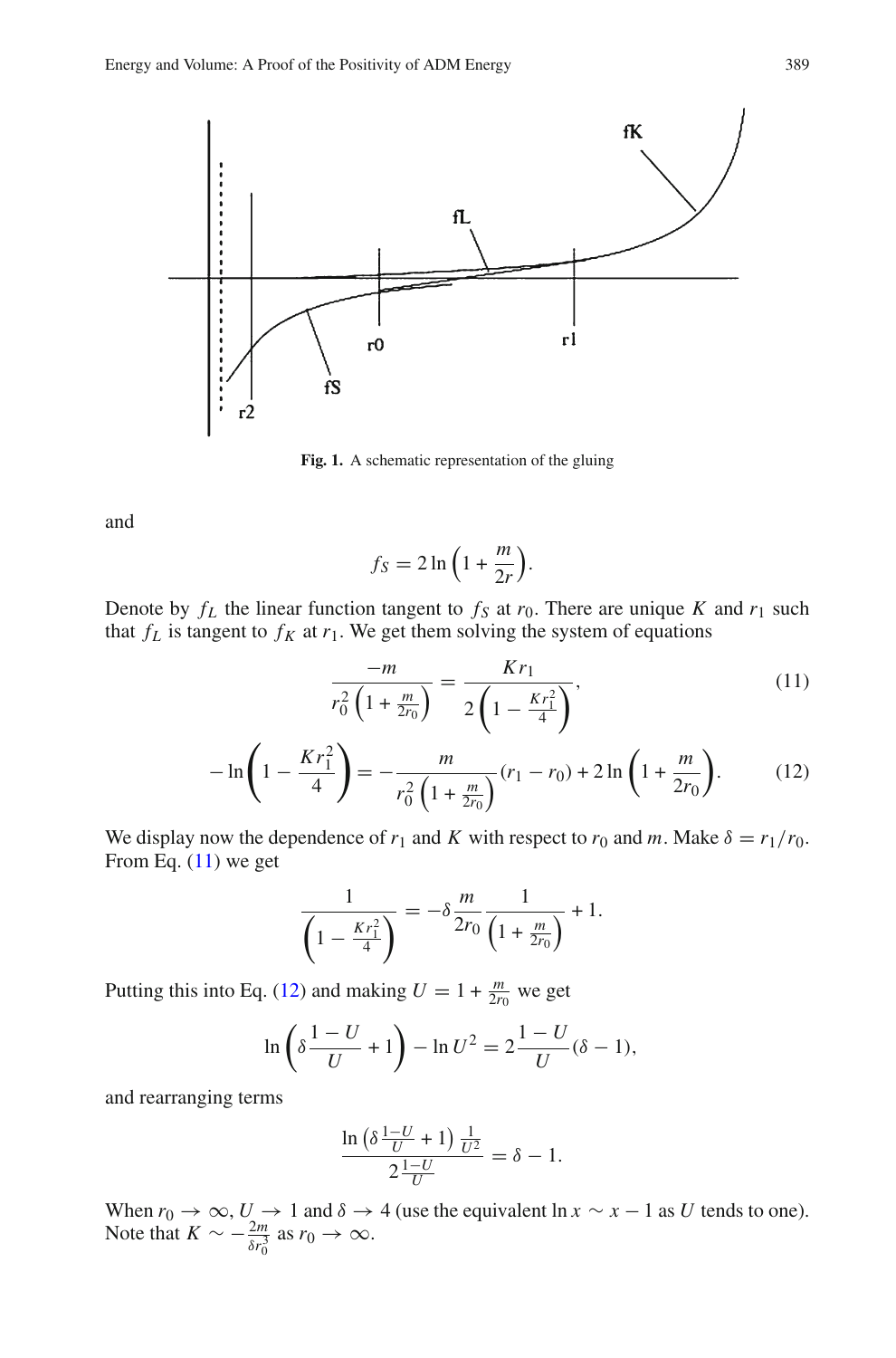

<span id="page-6-0"></span>**Fig. 1.** A schematic representation of the gluing

and

$$
f_S = 2\ln\left(1 + \frac{m}{2r}\right).
$$

<span id="page-6-1"></span>Denote by  $f_L$  the linear function tangent to  $f_S$  at  $r_0$ . There are unique  $K$  and  $r_1$  such that  $f_L$  is tangent to  $f_K$  at  $r_1$ . We get them solving the system of equations

$$
\frac{-m}{r_0^2 \left(1 + \frac{m}{2r_0}\right)} = \frac{Kr_1}{2\left(1 - \frac{Kr_1^2}{4}\right)},\tag{11}
$$

$$
-\ln\left(1 - \frac{Kr_1^2}{4}\right) = -\frac{m}{r_0^2\left(1 + \frac{m}{2r_0}\right)}(r_1 - r_0) + 2\ln\left(1 + \frac{m}{2r_0}\right). \tag{12}
$$

We display now the dependence of  $r_1$  and *K* with respect to  $r_0$  and *m*. Make  $\delta = r_1/r_0$ . From Eq.  $(11)$  we get

$$
\frac{1}{\left(1 - \frac{Kr_1^2}{4}\right)} = -\delta \frac{m}{2r_0} \frac{1}{\left(1 + \frac{m}{2r_0}\right)} + 1.
$$

Putting this into Eq. [\(12\)](#page-6-1) and making  $U = 1 + \frac{m}{2r_0}$  we get

$$
\ln\left(\delta \frac{1-U}{U} + 1\right) - \ln U^2 = 2\frac{1-U}{U}(\delta - 1),
$$

and rearranging terms

$$
\frac{\ln\left(\delta\frac{1-U}{U}+1\right)\frac{1}{U^2}}{2\frac{1-U}{U}}=\delta-1.
$$

When  $r_0 \to \infty$ ,  $U \to 1$  and  $\delta \to 4$  (use the equivalent ln  $x \sim x - 1$  as U tends to one). Note that  $K \sim -\frac{2m}{\delta r_0^3}$  as  $r_0 \to \infty$ .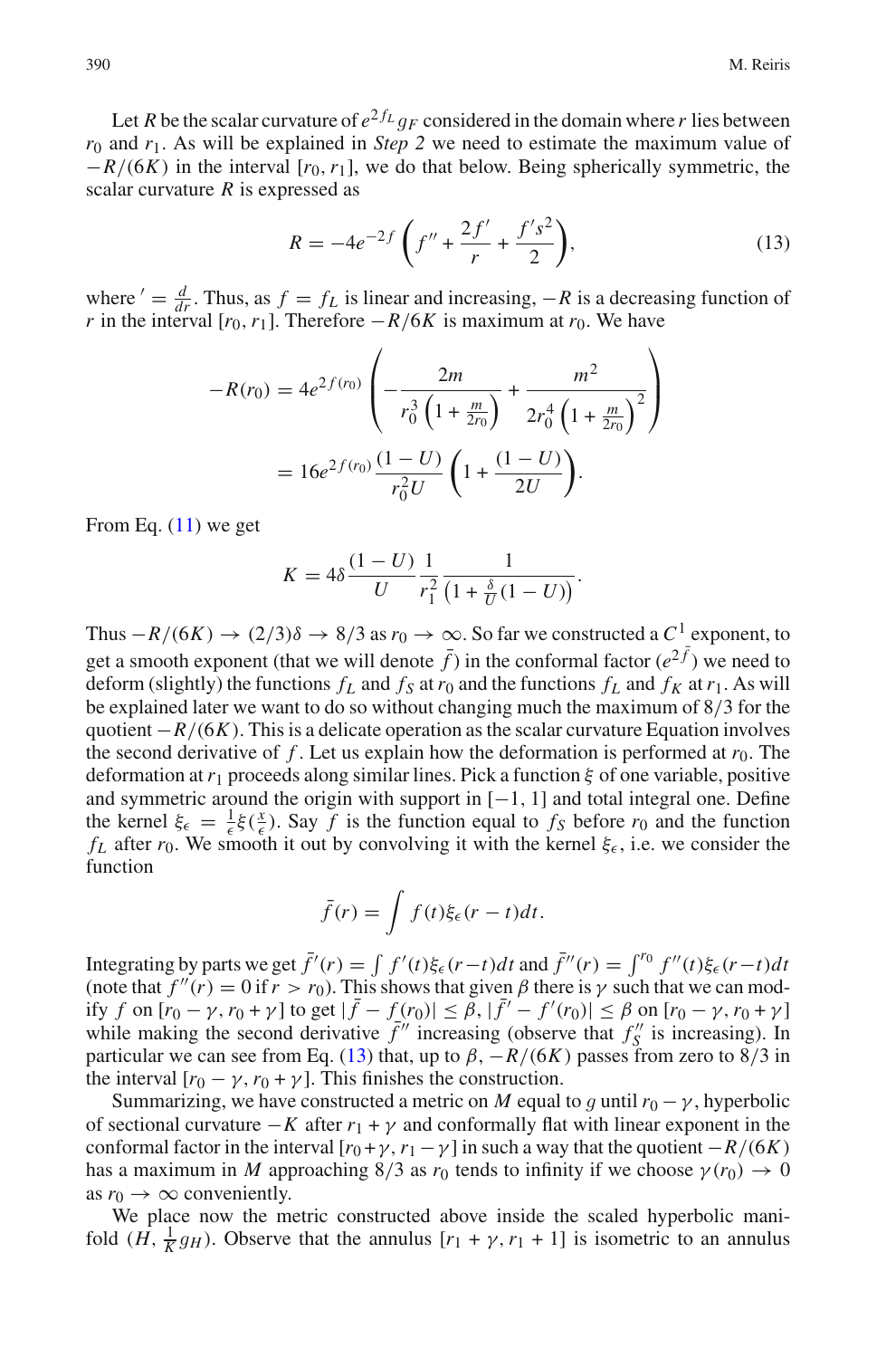Let *R* be the scalar curvature of  $e^{2f_L}$  *q<sub>F</sub>* considered in the domain where *r* lies between *r*<sup>0</sup> and *r*1. As will be explained in *Step 2* we need to estimate the maximum value of −*R*/(6*K*) in the interval [*r*0,*r*1], we do that below. Being spherically symmetric, the scalar curvature *R* is expressed as

$$
R = -4e^{-2f}\left(f'' + \frac{2f'}{r} + \frac{f's^2}{2}\right),\tag{13}
$$

<span id="page-7-0"></span>where  $' = \frac{d}{dr}$ . Thus, as  $f = f_L$  is linear and increasing,  $-R$  is a decreasing function of *r* in the interval  $[r_0, r_1]$ . Therefore  $-R/6K$  is maximum at  $r_0$ . We have

$$
-R(r_0) = 4e^{2f(r_0)} \left( -\frac{2m}{r_0^3 \left( 1 + \frac{m}{2r_0} \right)} + \frac{m^2}{2r_0^4 \left( 1 + \frac{m}{2r_0} \right)^2} \right)
$$

$$
= 16e^{2f(r_0)} \frac{(1-U)}{r_0^2 U} \left( 1 + \frac{(1-U)}{2U} \right).
$$

From Eq.  $(11)$  we get

$$
K = 4\delta \frac{(1-U)}{U} \frac{1}{r_1^2} \frac{1}{\left(1 + \frac{\delta}{U}(1-U)\right)}.
$$

Thus  $-R/(6K) \rightarrow (2/3)\delta \rightarrow 8/3$  as  $r_0 \rightarrow \infty$ . So far we constructed a  $C^1$  exponent, to get a smooth exponent (that we will denote  $\bar{f}$ ) in the conformal factor ( $e^{2\bar{f}}$ ) we need to deform (slightly) the functions  $f_L$  and  $f_S$  at  $r_0$  and the functions  $f_L$  and  $f_K$  at  $r_1$ . As will be explained later we want to do so without changing much the maximum of 8/3 for the quotient −*R*/(6*K*). This is a delicate operation as the scalar curvature Equation involves the second derivative of  $f$ . Let us explain how the deformation is performed at  $r_0$ . The deformation at*r*<sup>1</sup> proceeds along similar lines. Pick a function ξ of one variable, positive and symmetric around the origin with support in  $[-1, 1]$  and total integral one. Define the kernel  $\xi_{\epsilon} = \frac{1}{\epsilon} \xi(\frac{x}{\epsilon})$ . Say *f* is the function equal to *f<sub>S</sub>* before *r*<sub>0</sub> and the function  $f_L$  after  $r_0$ . We smooth it out by convolving it with the kernel  $\xi_{\epsilon}$ , i.e. we consider the function

$$
\bar{f}(r) = \int f(t)\xi_{\epsilon}(r-t)dt.
$$

Integrating by parts we get  $\bar{f}'(r) = \int f'(t)\xi_{\epsilon}(r-t)dt$  and  $\bar{f}''(r) = \int^{r_0} f''(t)\xi_{\epsilon}(r-t)dt$ (note that  $f''(r) = 0$  if  $r > r_0$ ). This shows that given  $\beta$  there is  $\gamma$  such that we can modify *f* on  $[r_0 - γ, r_0 + γ]$  to get  $|\bar{f} - f(r_0)| ≤ β, |\bar{f}' - f'(r_0)| ≤ β$  on  $[r_0 - γ, r_0 + γ]$ while making the second derivative  $\bar{f}^{\prime\prime}$  increasing (observe that  $f''_S$  is increasing). In particular we can see from Eq. [\(13\)](#page-7-0) that, up to  $\beta$ ,  $-R/(6K)$  passes from zero to 8/3 in the interval  $[r_0 - \gamma, r_0 + \gamma]$ . This finishes the construction.

Summarizing, we have constructed a metric on *M* equal to *g* until  $r_0 - \gamma$ , hyperbolic of sectional curvature  $-K$  after  $r_1 + \gamma$  and conformally flat with linear exponent in the conformal factor in the interval  $[r_0 + \gamma, r_1 - \gamma]$  in such a way that the quotient  $-R/(6K)$ has a maximum in *M* approaching 8/3 as  $r_0$  tends to infinity if we choose  $\gamma(r_0) \rightarrow 0$ as  $r_0 \rightarrow \infty$  conveniently.

We place now the metric constructed above inside the scaled hyperbolic manifold  $(H, \frac{1}{K}g_H)$ . Observe that the annulus  $[r_1 + \gamma, r_1 + 1]$  is isometric to an annulus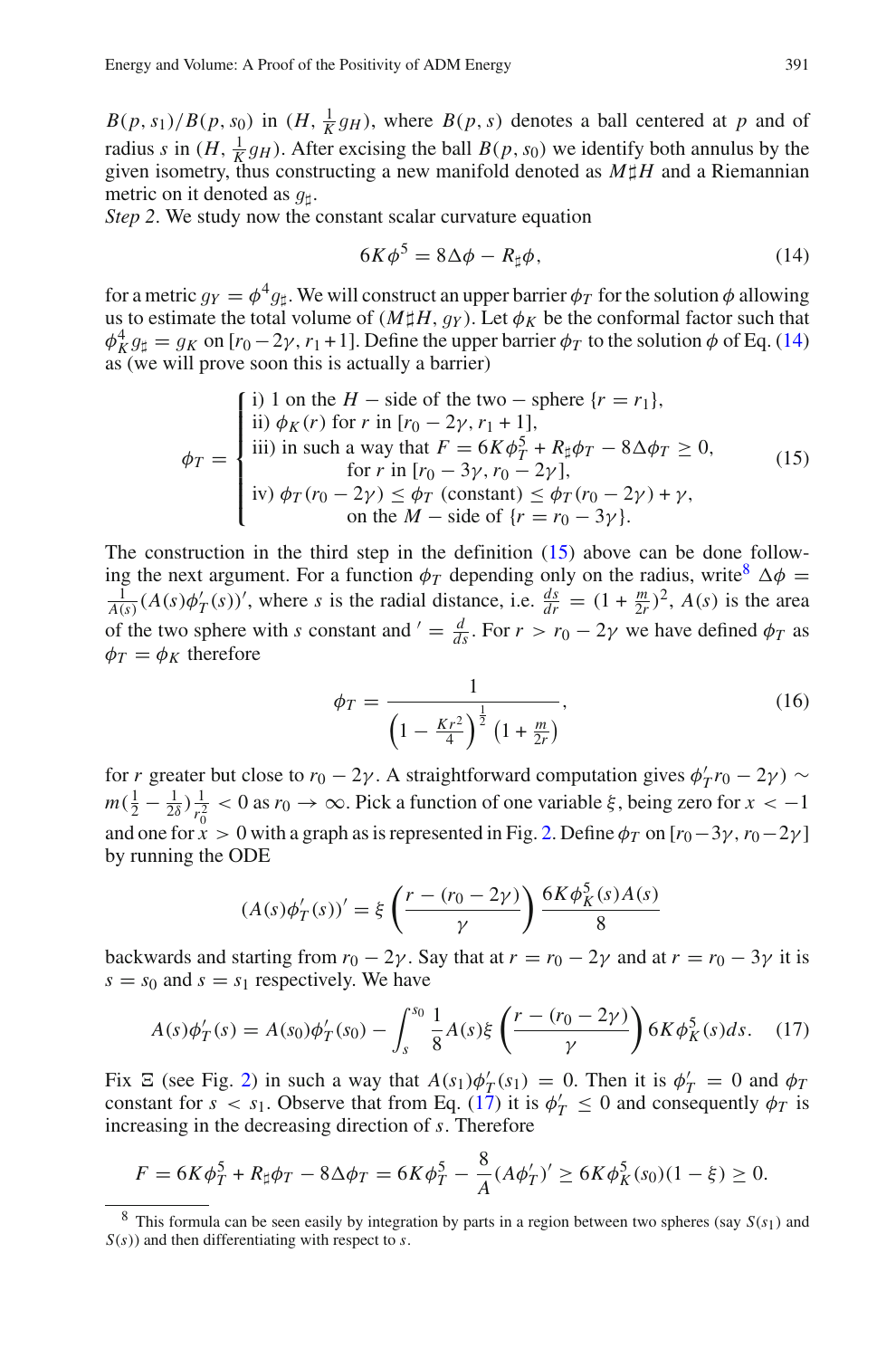$B(p, s_1)/B(p, s_0)$  in  $(H, \frac{1}{K}g_H)$ , where  $B(p, s)$  denotes a ball centered at *p* and of radius s in  $(H, \frac{1}{K}g_H)$ . After excising the ball  $B(p, s_0)$  we identify both annulus by the radius *s* in  $(H, \frac{1}{K}g_H)$ . After excising the ball  $B(p, s_0)$  we identify both annulus by the piven isometry, thus constructing a new manifold denoted as  $M \sharp H$  and a Riemannian given isometry, thus constructing a new manifold denoted as  $M \sharp H$  and a Riemannian metric on it denoted as  $q_{\text{H}}$ .

<span id="page-8-0"></span>*Step 2.* We study now the constant scalar curvature equation

$$
6K\phi^5 = 8\Delta\phi - R_{\sharp}\phi, \qquad (14)
$$

for a metric  $q_Y = \phi^4 q_{\uparrow}$ . We will construct an upper barrier  $\phi_T$  for the solution  $\phi$  allowing us to estimate the total volume of  $(M \sharp H, q_Y)$ . Let  $\phi_K$  be the conformal factor such that  $\phi_K^4 g_{\sharp} = g_K$  on  $[r_0 - 2\gamma, r_1 + 1]$ . Define the upper barrier  $\phi_T$  to the solution  $\phi$  of Eq. [\(14\)](#page-8-0) as (we will prove soon this is actually a barrier) as (we will prove soon this is actually a barrier)

$$
\phi_T = \begin{cases}\n\text{i) 1 on the } H - \text{side of the two} - \text{sphere } \{r = r_1\}, \\
\text{ii) } \phi_K(r) \text{ for } r \text{ in } [r_0 - 2\gamma, r_1 + 1], \\
\text{iii) in such a way that } F = 6K\phi_T^5 + R_\sharp \phi_T - 8\Delta\phi_T \ge 0, \\
\text{for } r \text{ in } [r_0 - 3\gamma, r_0 - 2\gamma], \\
\text{iv) } \phi_T(r_0 - 2\gamma) \le \phi_T \text{ (constant)} \le \phi_T(r_0 - 2\gamma) + \gamma, \\
\text{on the } M - \text{side of } \{r = r_0 - 3\gamma\}.\n\end{cases}
$$
\n(15)

<span id="page-8-1"></span>The construction in the third step in the definition  $(15)$  above can be done following the next argument. For a function  $\phi_T$  depending only on the radius, write<sup>[8](#page-8-2)</sup>  $\Delta \phi$  =  $\frac{1}{A(s)}(A(s)\phi'_T(s))'$ , where *s* is the radial distance, i.e.  $\frac{ds}{dr} = (1 + \frac{m}{2r})^2$ ,  $A(s)$  is the area of the two sphere with *s* constant and  $' = \frac{d}{ds}$ . For  $r > r_0 - 2\gamma$  we have defined  $\phi_T$  as  $\phi_T = \phi_K$  therefore

$$
\phi_T = \frac{1}{\left(1 - \frac{Kr^2}{4}\right)^{\frac{1}{2}} \left(1 + \frac{m}{2r}\right)},\tag{16}
$$

for *r* greater but close to  $r_0 - 2\gamma$ . A straightforward computation gives  $\phi'_T r_0 - 2\gamma$   $\sim$  $m(\frac{1}{2} - \frac{1}{2\delta})\frac{1}{r_0^2} < 0$  as  $r_0 \to \infty$ . Pick a function of one variable  $\xi$ , being zero for  $x < -1$ and one for  $\dot{x} > 0$  with a graph as is represented in Fig. [2.](#page-9-0) Define  $\phi_T$  on  $[r_0-3\gamma, r_0-2\gamma]$ by running the ODE

$$
(A(s)\phi'_T(s))' = \xi \left(\frac{r - (r_0 - 2\gamma)}{\gamma}\right) \frac{6K\phi'_K(s)A(s)}{8}
$$

backwards and starting from  $r_0 - 2\gamma$ . Say that at  $r = r_0 - 2\gamma$  and at  $r = r_0 - 3\gamma$  it is  $s = s_0$  and  $s = s_1$  respectively. We have

$$
A(s)\phi'_T(s) = A(s_0)\phi'_T(s_0) - \int_s^{s_0} \frac{1}{8}A(s)\xi\left(\frac{r - (r_0 - 2\gamma)}{\gamma}\right)6K\phi_K^5(s)ds. \tag{17}
$$

<span id="page-8-3"></span>Fix  $\Xi$  (see Fig. [2\)](#page-9-0) in such a way that  $A(s_1)\phi'_T(s_1) = 0$ . Then it is  $\phi'_T = 0$  and  $\phi_T$ constant for  $s < s_1$ . Observe that from Eq. [\(17\)](#page-8-3) it is  $\phi'_T \leq 0$  and consequently  $\phi_T$  is increasing in the decreasing direction of *s*. Therefore

$$
F = 6K\phi_T^5 + R_{\sharp}\phi_T - 8\Delta\phi_T = 6K\phi_T^5 - \frac{8}{A}(A\phi_T')' \ge 6K\phi_K^5(s_0)(1-\xi) \ge 0.
$$

<span id="page-8-2"></span><sup>&</sup>lt;sup>8</sup> This formula can be seen easily by integration by parts in a region between two spheres (say  $S(s<sub>1</sub>)$ ) and *S*(*s*)) and then differentiating with respect to *s*.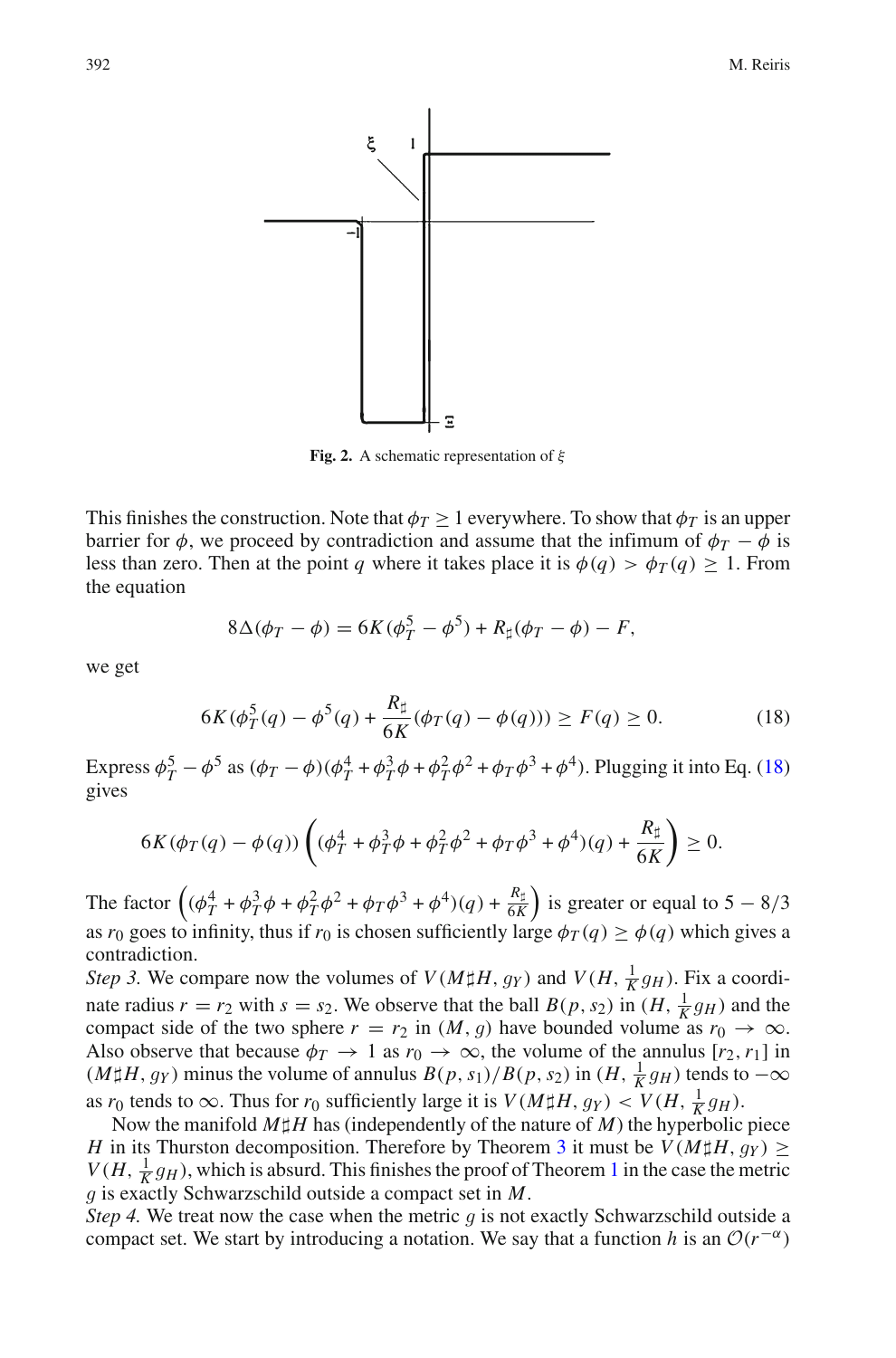

<span id="page-9-0"></span>**Fig. 2.** A schematic representation of ξ

This finishes the construction. Note that  $\phi_T \geq 1$  everywhere. To show that  $\phi_T$  is an upper barrier for  $\phi$ , we proceed by contradiction and assume that the infimum of  $\phi_T - \phi$  is less than zero. Then at the point *q* where it takes place it is  $\phi(q) > \phi_T(q) > 1$ . From the equation

$$
8\Delta(\phi_T - \phi) = 6K(\phi_T^5 - \phi^5) + R_{\sharp}(\phi_T - \phi) - F,
$$

<span id="page-9-1"></span>we get

$$
6K(\phi_T^5(q) - \phi^5(q) + \frac{R_{\sharp}}{6K}(\phi_T(q) - \phi(q))) \ge F(q) \ge 0.
$$
 (18)

Express  $\phi_T^5 - \phi^5$  as  $(\phi_T - \phi)(\phi_T^4 + \phi_T^3 \phi + \phi_T^2 \phi^2 + \phi_T \phi^3 + \phi^4)$ . Plugging it into Eq. [\(18\)](#page-9-1) gives

$$
6K(\phi_T(q) - \phi(q))\left( (\phi_T^4 + \phi_T^3 \phi + \phi_T^2 \phi^2 + \phi_T \phi^3 + \phi^4)(q) + \frac{R_\sharp}{6K} \right) \ge 0.
$$

The factor  $(\phi_T^4 + \phi_T^3 \phi + \phi_T^2 \phi^2 + \phi_T \phi^3 + \phi^4)(q) + \frac{R_{\text{B}}}{6K}$  $\frac{R_{\sharp}}{6K}$ ) is greater or equal to 5 – 8/3 as  $r_0$  goes to infinity, thus if  $r_0$  is chosen sufficiently large  $\phi_T(q) \ge \phi(q)$  which gives a contradiction.

*Step 3.* We compare now the volumes of  $V(M\sharp H, g_Y)$  and  $V(H, \frac{1}{K}g_H)$ . Fix a coordinate reduce  $g$ , with  $g \to g$ . We observe that the hall  $P(g, g)$  in  $(H, \frac{1}{K}g)$  and the nate radius  $r = r_2$  with  $s = s_2$ . We observe that the ball  $B(p, s_2)$  in  $(H, \frac{1}{K}g_H)$  and the compact side of the two sphere  $r = r_2$  in  $(M, q)$  have bounded volume as  $r_0 \rightarrow \infty$ compact side of the two sphere  $r = r_2$  in  $(M, g)$  have bounded volume as  $r_0 \to \infty$ . Also observe that because  $\phi_T \to 1$  as  $r_0 \to \infty$ , the volume of the annulus  $[r_2, r_1]$  in  $(M\sharp H, g_Y)$  minus the volume of annulus  $B(p, s_1)/B(p, s_2)$  in  $(H, \frac{1}{K}g_H)$  tends to  $-\infty$ as *r*<sub>0</sub> tends to  $\infty$ . Thus for *r*<sub>0</sub> sufficiently large it is  $V(M \sharp H, g_Y) < V(H, \frac{1}{K}g_H)$ .<br>Now the manifold  $M \sharp H$  has (independently of the nature of *M*) the hyperbolic

Now the manifold  $M\sharp H$  has (independently of the nature of *M*) the hyperbolic piece *H* in its Thurston decomposition. Therefore by Theorem [3](#page-2-3) it must be  $V(M \sharp H, g_Y) \geq$  $V(H, \frac{1}{k}g_H)$  $V(H, \frac{1}{k}g_H)$  $V(H, \frac{1}{k}g_H)$ , which is absurd. This finishes the proof of Theorem 1 in the case the metric a is exactly Schwarzschild outside a compact set in M *g* is exactly Schwarzschild outside a compact set in *<sup>M</sup>*.

*Step 4.* We treat now the case when the metric *g* is not exactly Schwarzschild outside a compact set. We start by introducing a notation. We say that a function *h* is an  $\mathcal{O}(r^{-\alpha})$